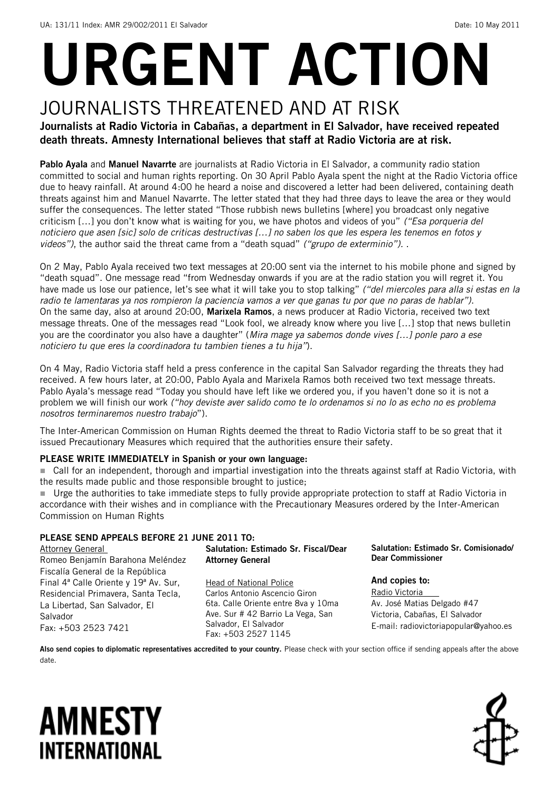# URGENT ACTION

### JOURNALISTS THREATENED AND AT RISK

Journalists at Radio Victoria in Cabañas, a department in El Salvador, have received repeated death threats. Amnesty International believes that staff at Radio Victoria are at risk.

Pablo Ayala and Manuel Navarrte are journalists at Radio Victoria in El Salvador, a community radio station committed to social and human rights reporting. On 30 April Pablo Ayala spent the night at the Radio Victoria office due to heavy rainfall. At around 4:00 he heard a noise and discovered a letter had been delivered, containing death threats against him and Manuel Navarrte. The letter stated that they had three days to leave the area or they would suffer the consequences. The letter stated "Those rubbish news bulletins [where] you broadcast only negative criticism […] you don't know what is waiting for you, we have photos and videos of you" *("Esa porqueria del noticiero que asen [sic] solo de criticas destructivas […] no saben los que les espera les tenemos en fotos y videos")*, the author said the threat came from a "death squad" *("grupo de exterminio").* .

On 2 May, Pablo Ayala received two text messages at 20:00 sent via the internet to his mobile phone and signed by "death squad". One message read "from Wednesday onwards if you are at the radio station you will regret it. You have made us lose our patience, let's see what it will take you to stop talking" *("del miercoles para alla si estas en la radio te lamentaras ya nos rompieron la paciencia vamos a ver que ganas tu por que no paras de hablar")*. On the same day, also at around 20:00, Marixela Ramos, a news producer at Radio Victoria, received two text message threats. One of the messages read "Look fool, we already know where you live […] stop that news bulletin you are the coordinator you also have a daughter" (*Mira mage ya sabemos donde vives […] ponle paro a ese noticiero tu que eres la coordinadora tu tambien tienes a tu hija"*).

On 4 May, Radio Victoria staff held a press conference in the capital San Salvador regarding the threats they had received. A few hours later, at 20:00, Pablo Ayala and Marixela Ramos both received two text message threats. Pablo Ayala's message read "Today you should have left like we ordered you, if you haven't done so it is not a problem we will finish our work *("hoy deviste aver salido como te lo ordenamos si no lo as echo no es problema nosotros terminaremos nuestro trabajo*").

The Inter-American Commission on Human Rights deemed the threat to Radio Victoria staff to be so great that it issued Precautionary Measures which required that the authorities ensure their safety.

#### PLEASE WRITE IMMEDIATELY in Spanish or your own language:

■ Call for an independent, thorough and impartial investigation into the threats against staff at Radio Victoria, with the results made public and those responsible brought to justice;

 Urge the authorities to take immediate steps to fully provide appropriate protection to staff at Radio Victoria in accordance with their wishes and in compliance with the Precautionary Measures ordered by the Inter-American Commission on Human Rights

#### PLEASE SEND APPEALS BEFORE 21 JUNE 2011 TO:

**Attorney General** Romeo Benjamín Barahona Meléndez Fiscalía General de la República Final 4ª Calle Oriente y 19ª Av. Sur, Residencial Primavera, Santa Tecla, La Libertad, San Salvador, El Salvador Fax: +503 2523 7421

Salutation: Estimado Sr. Fiscal/Dear Attorney General Head of National Police

Carlos Antonio Ascencio Giron 6ta. Calle Oriente entre 8va y 10ma Ave. Sur # 42 Barrio La Vega, San Salvador, El Salvador Fax: +503 2527 1145

Salutation: Estimado Sr. Comisionado/ Dear Commissioner

And copies to: Radio Victoria Av. José Matias Delgado #47 Victoria, Cabañas, El Salvador E-mail: radiovictoriapopular@yahoo.es

Also send copies to diplomatic representatives accredited to your country. Please check with your section office if sending appeals after the above date.

## **AMNESTY** INTERNATIONAL